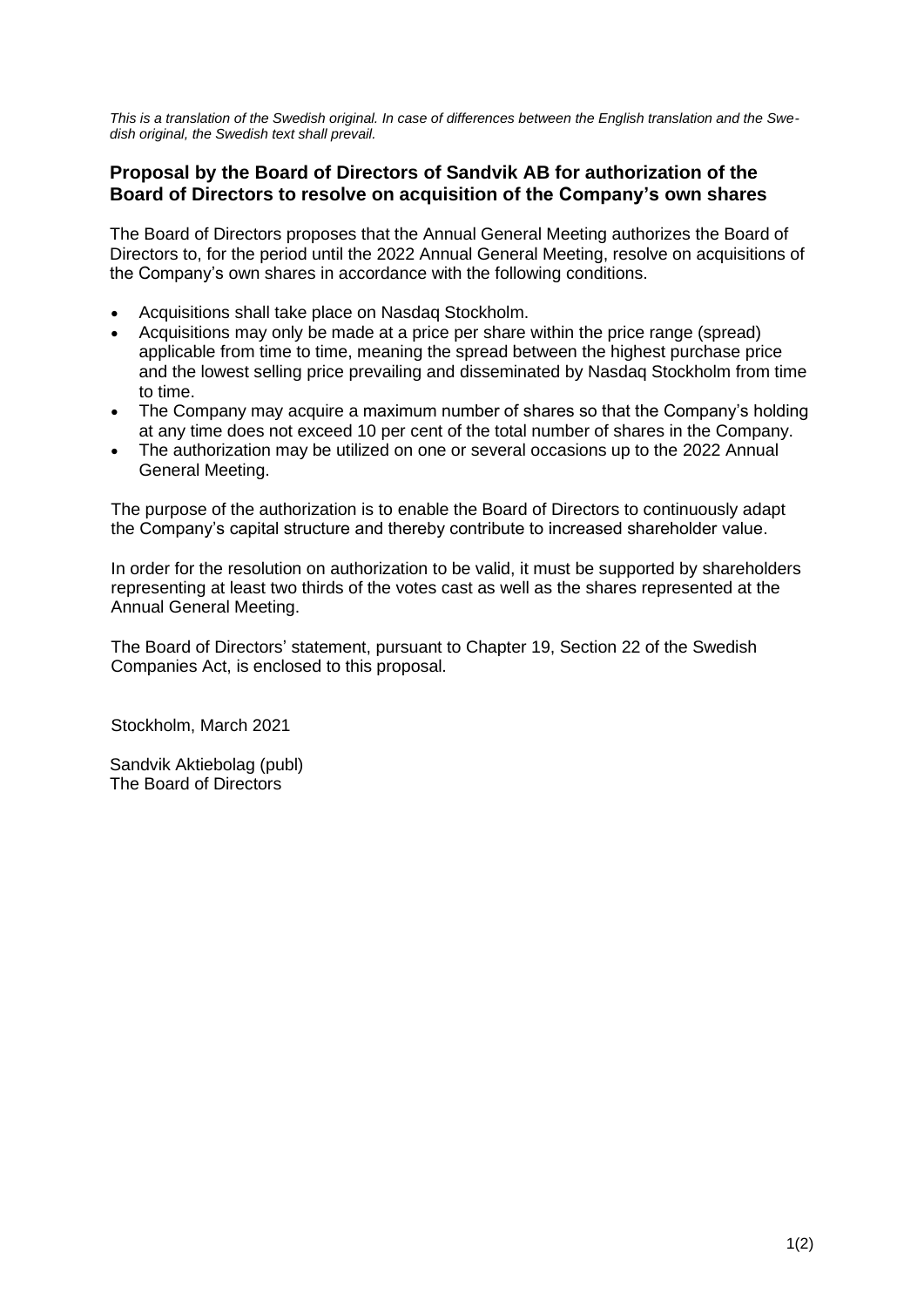*This is a translation of the Swedish original. In case of differences between the English translation and the Swedish original, the Swedish text shall prevail.*

## **Proposal by the Board of Directors of Sandvik AB for authorization of the Board of Directors to resolve on acquisition of the Company's own shares**

The Board of Directors proposes that the Annual General Meeting authorizes the Board of Directors to, for the period until the 2022 Annual General Meeting, resolve on acquisitions of the Company's own shares in accordance with the following conditions.

- Acquisitions shall take place on Nasdaq Stockholm.
- Acquisitions may only be made at a price per share within the price range (spread) applicable from time to time, meaning the spread between the highest purchase price and the lowest selling price prevailing and disseminated by Nasdaq Stockholm from time to time.
- The Company may acquire a maximum number of shares so that the Company's holding at any time does not exceed 10 per cent of the total number of shares in the Company.
- The authorization may be utilized on one or several occasions up to the 2022 Annual General Meeting.

The purpose of the authorization is to enable the Board of Directors to continuously adapt the Company's capital structure and thereby contribute to increased shareholder value.

In order for the resolution on authorization to be valid, it must be supported by shareholders representing at least two thirds of the votes cast as well as the shares represented at the Annual General Meeting.

The Board of Directors' statement, pursuant to Chapter 19, Section 22 of the Swedish Companies Act, is enclosed to this proposal.

Stockholm, March 2021

Sandvik Aktiebolag (publ) The Board of Directors